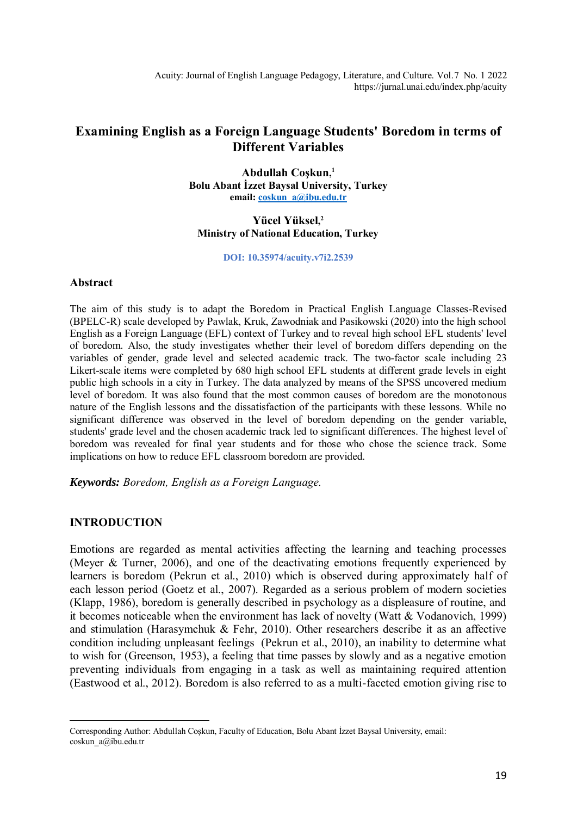Acuity: Journal of English Language Pedagogy, Literature, and Culture. Vol.7 No. 1 2022 https://jurnal.unai.edu/index.php/acuity

# **Examining English as a Foreign Language Students' Boredom in terms of Different Variables**

**Abdullah Coşkun, 1 Bolu Abant İzzet Baysal University, Turkey email[: coskun\\_a@ibu.edu.tr](mailto:coskun_a@ibu.edu.tr)**

### **Yücel Yüksel, 2 Ministry of National Education, Turkey**

**DOI: 10.35974/acuity.v7i2.2539**

#### **Abstract**

The aim of this study is to adapt the Boredom in Practical English Language Classes-Revised (BPELC-R) scale developed by Pawlak, Kruk, Zawodniak and Pasikowski (2020) into the high school English as a Foreign Language (EFL) context of Turkey and to reveal high school EFL students' level of boredom. Also, the study investigates whether their level of boredom differs depending on the variables of gender, grade level and selected academic track. The two-factor scale including 23 Likert-scale items were completed by 680 high school EFL students at different grade levels in eight public high schools in a city in Turkey. The data analyzed by means of the SPSS uncovered medium level of boredom. It was also found that the most common causes of boredom are the monotonous nature of the English lessons and the dissatisfaction of the participants with these lessons. While no significant difference was observed in the level of boredom depending on the gender variable, students' grade level and the chosen academic track led to significant differences. The highest level of boredom was revealed for final year students and for those who chose the science track. Some implications on how to reduce EFL classroom boredom are provided.

*Keywords: Boredom, English as a Foreign Language.*

### **INTRODUCTION**

 $\overline{a}$ 

Emotions are regarded as mental activities affecting the learning and teaching processes (Meyer & Turner, 2006), and one of the deactivating emotions frequently experienced by learners is boredom (Pekrun et al., 2010) which is observed during approximately half of each lesson period (Goetz et al., 2007). Regarded as a serious problem of modern societies (Klapp, 1986), boredom is generally described in psychology as a displeasure of routine, and it becomes noticeable when the environment has lack of novelty (Watt  $& Vodanovich, 1999$ ) and stimulation (Harasymchuk & Fehr, 2010). Other researchers describe it as an affective condition including unpleasant feelings (Pekrun et al., 2010), an inability to determine what to wish for (Greenson, 1953), a feeling that time passes by slowly and as a negative emotion preventing individuals from engaging in a task as well as maintaining required attention (Eastwood et al., 2012). Boredom is also referred to as a multi-faceted emotion giving rise to

Corresponding Author: Abdullah Coşkun, Faculty of Education, Bolu Abant İzzet Baysal University, email: coskun\_a@ibu.edu.tr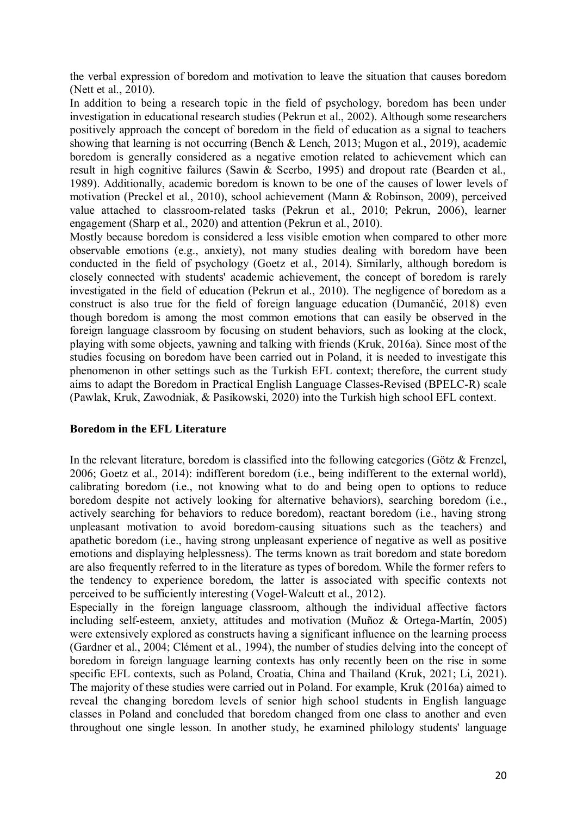the verbal expression of boredom and motivation to leave the situation that causes boredom (Nett et al., 2010).

In addition to being a research topic in the field of psychology, boredom has been under investigation in educational research studies (Pekrun et al., 2002). Although some researchers positively approach the concept of boredom in the field of education as a signal to teachers showing that learning is not occurring (Bench & Lench, 2013; Mugon et al., 2019), academic boredom is generally considered as a negative emotion related to achievement which can result in high cognitive failures (Sawin & Scerbo, 1995) and dropout rate (Bearden et al., 1989). Additionally, academic boredom is known to be one of the causes of lower levels of motivation (Preckel et al., 2010), school achievement (Mann & Robinson, 2009), perceived value attached to classroom-related tasks (Pekrun et al., 2010; Pekrun, 2006), learner engagement (Sharp et al., 2020) and attention (Pekrun et al., 2010).

Mostly because boredom is considered a less visible emotion when compared to other more observable emotions (e.g., anxiety), not many studies dealing with boredom have been conducted in the field of psychology (Goetz et al., 2014). Similarly, although boredom is closely connected with students' academic achievement, the concept of boredom is rarely investigated in the field of education (Pekrun et al., 2010). The negligence of boredom as a construct is also true for the field of foreign language education (Dumančić, 2018) even though boredom is among the most common emotions that can easily be observed in the foreign language classroom by focusing on student behaviors, such as looking at the clock, playing with some objects, yawning and talking with friends (Kruk, 2016a). Since most of the studies focusing on boredom have been carried out in Poland, it is needed to investigate this phenomenon in other settings such as the Turkish EFL context; therefore, the current study aims to adapt the Boredom in Practical English Language Classes-Revised (BPELC-R) scale (Pawlak, Kruk, Zawodniak, & Pasikowski, 2020) into the Turkish high school EFL context.

### **Boredom in the EFL Literature**

In the relevant literature, boredom is classified into the following categories (Götz & Frenzel, 2006; Goetz et al., 2014): indifferent boredom (i.e., being indifferent to the external world), calibrating boredom (i.e., not knowing what to do and being open to options to reduce boredom despite not actively looking for alternative behaviors), searching boredom (i.e., actively searching for behaviors to reduce boredom), reactant boredom (i.e., having strong unpleasant motivation to avoid boredom-causing situations such as the teachers) and apathetic boredom (i.e., having strong unpleasant experience of negative as well as positive emotions and displaying helplessness). The terms known as trait boredom and state boredom are also frequently referred to in the literature as types of boredom. While the former refers to the tendency to experience boredom, the latter is associated with specific contexts not perceived to be sufficiently interesting (Vogel-Walcutt et al., 2012).

Especially in the foreign language classroom, although the individual affective factors including self-esteem, anxiety, attitudes and motivation (Muñoz & Ortega-Martín, 2005) were extensively explored as constructs having a significant influence on the learning process (Gardner et al., 2004; Clément et al., 1994), the number of studies delving into the concept of boredom in foreign language learning contexts has only recently been on the rise in some specific EFL contexts, such as Poland, Croatia, China and Thailand (Kruk, 2021; Li, 2021). The majority of these studies were carried out in Poland. For example, Kruk (2016a) aimed to reveal the changing boredom levels of senior high school students in English language classes in Poland and concluded that boredom changed from one class to another and even throughout one single lesson. In another study, he examined philology students' language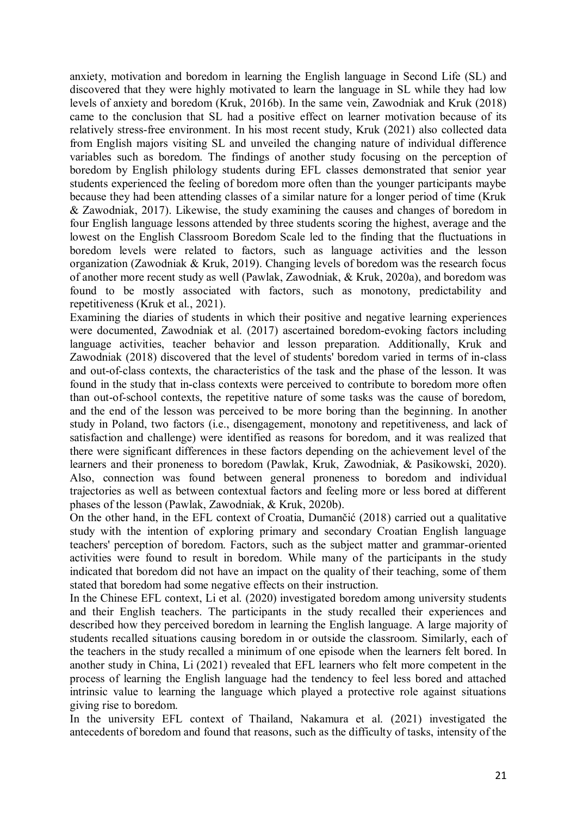anxiety, motivation and boredom in learning the English language in Second Life (SL) and discovered that they were highly motivated to learn the language in SL while they had low levels of anxiety and boredom (Kruk, 2016b). In the same vein, Zawodniak and Kruk (2018) came to the conclusion that SL had a positive effect on learner motivation because of its relatively stress-free environment. In his most recent study, Kruk (2021) also collected data from English majors visiting SL and unveiled the changing nature of individual difference variables such as boredom. The findings of another study focusing on the perception of boredom by English philology students during EFL classes demonstrated that senior year students experienced the feeling of boredom more often than the younger participants maybe because they had been attending classes of a similar nature for a longer period of time (Kruk & Zawodniak, 2017). Likewise, the study examining the causes and changes of boredom in four English language lessons attended by three students scoring the highest, average and the lowest on the English Classroom Boredom Scale led to the finding that the fluctuations in boredom levels were related to factors, such as language activities and the lesson organization (Zawodniak & Kruk, 2019). Changing levels of boredom was the research focus of another more recent study as well (Pawlak, Zawodniak, & Kruk, 2020a), and boredom was found to be mostly associated with factors, such as monotony, predictability and repetitiveness (Kruk et al., 2021).

Examining the diaries of students in which their positive and negative learning experiences were documented, Zawodniak et al. (2017) ascertained boredom-evoking factors including language activities, teacher behavior and lesson preparation. Additionally, Kruk and Zawodniak (2018) discovered that the level of students' boredom varied in terms of in-class and out-of-class contexts, the characteristics of the task and the phase of the lesson. It was found in the study that in-class contexts were perceived to contribute to boredom more often than out-of-school contexts, the repetitive nature of some tasks was the cause of boredom, and the end of the lesson was perceived to be more boring than the beginning. In another study in Poland, two factors (i.e., disengagement, monotony and repetitiveness, and lack of satisfaction and challenge) were identified as reasons for boredom, and it was realized that there were significant differences in these factors depending on the achievement level of the learners and their proneness to boredom (Pawlak, Kruk, Zawodniak, & Pasikowski, 2020). Also, connection was found between general proneness to boredom and individual trajectories as well as between contextual factors and feeling more or less bored at different phases of the lesson (Pawlak, Zawodniak, & Kruk, 2020b).

On the other hand, in the EFL context of Croatia, Dumančić (2018) carried out a qualitative study with the intention of exploring primary and secondary Croatian English language teachers' perception of boredom. Factors, such as the subject matter and grammar-oriented activities were found to result in boredom. While many of the participants in the study indicated that boredom did not have an impact on the quality of their teaching, some of them stated that boredom had some negative effects on their instruction.

In the Chinese EFL context, Li et al. (2020) investigated boredom among university students and their English teachers. The participants in the study recalled their experiences and described how they perceived boredom in learning the English language. A large majority of students recalled situations causing boredom in or outside the classroom. Similarly, each of the teachers in the study recalled a minimum of one episode when the learners felt bored. In another study in China, Li (2021) revealed that EFL learners who felt more competent in the process of learning the English language had the tendency to feel less bored and attached intrinsic value to learning the language which played a protective role against situations giving rise to boredom.

In the university EFL context of Thailand, Nakamura et al. (2021) investigated the antecedents of boredom and found that reasons, such as the difficulty of tasks, intensity of the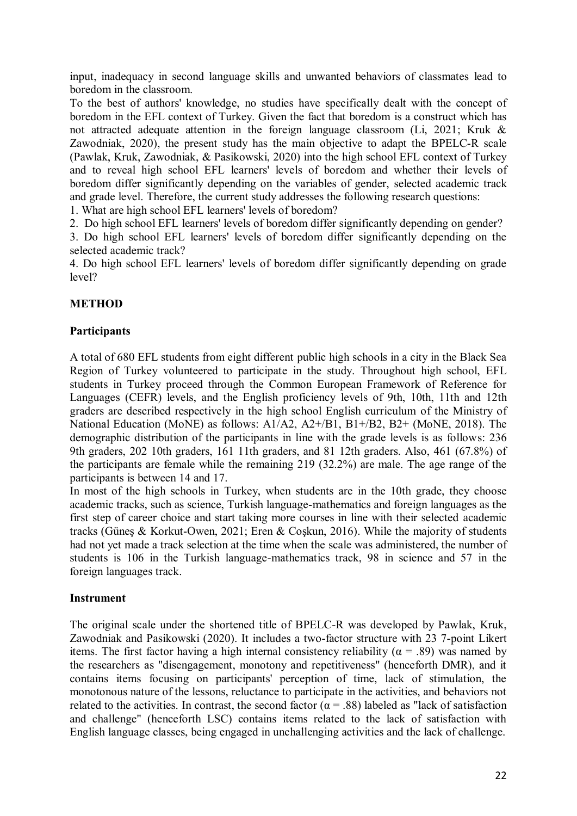input, inadequacy in second language skills and unwanted behaviors of classmates lead to boredom in the classroom.

To the best of authors' knowledge, no studies have specifically dealt with the concept of boredom in the EFL context of Turkey. Given the fact that boredom is a construct which has not attracted adequate attention in the foreign language classroom (Li, 2021; Kruk & Zawodniak, 2020), the present study has the main objective to adapt the BPELC-R scale (Pawlak, Kruk, Zawodniak, & Pasikowski, 2020) into the high school EFL context of Turkey and to reveal high school EFL learners' levels of boredom and whether their levels of boredom differ significantly depending on the variables of gender, selected academic track and grade level. Therefore, the current study addresses the following research questions:

1. What are high school EFL learners' levels of boredom?

2. Do high school EFL learners' levels of boredom differ significantly depending on gender?

3. Do high school EFL learners' levels of boredom differ significantly depending on the selected academic track?

4. Do high school EFL learners' levels of boredom differ significantly depending on grade level?

# **METHOD**

# **Participants**

A total of 680 EFL students from eight different public high schools in a city in the Black Sea Region of Turkey volunteered to participate in the study. Throughout high school, EFL students in Turkey proceed through the Common European Framework of Reference for Languages (CEFR) levels, and the English proficiency levels of 9th, 10th, 11th and 12th graders are described respectively in the high school English curriculum of the Ministry of National Education (MoNE) as follows: A1/A2, A2+/B1, B1+/B2, B2+ (MoNE, 2018). The demographic distribution of the participants in line with the grade levels is as follows: 236 9th graders, 202 10th graders, 161 11th graders, and 81 12th graders. Also, 461 (67.8%) of the participants are female while the remaining 219 (32.2%) are male. The age range of the participants is between 14 and 17.

In most of the high schools in Turkey, when students are in the 10th grade, they choose academic tracks, such as science, Turkish language-mathematics and foreign languages as the first step of career choice and start taking more courses in line with their selected academic tracks (Güneş & Korkut-Owen, 2021; Eren & Coşkun, 2016). While the majority of students had not yet made a track selection at the time when the scale was administered, the number of students is 106 in the Turkish language-mathematics track, 98 in science and 57 in the foreign languages track.

# **Instrument**

The original scale under the shortened title of BPELC-R was developed by Pawlak, Kruk, Zawodniak and Pasikowski (2020). It includes a two-factor structure with 23 7-point Likert items. The first factor having a high internal consistency reliability ( $\alpha$  = .89) was named by the researchers as "disengagement, monotony and repetitiveness" (henceforth DMR), and it contains items focusing on participants' perception of time, lack of stimulation, the monotonous nature of the lessons, reluctance to participate in the activities, and behaviors not related to the activities. In contrast, the second factor ( $\alpha$  = .88) labeled as "lack of satisfaction and challenge" (henceforth LSC) contains items related to the lack of satisfaction with English language classes, being engaged in unchallenging activities and the lack of challenge.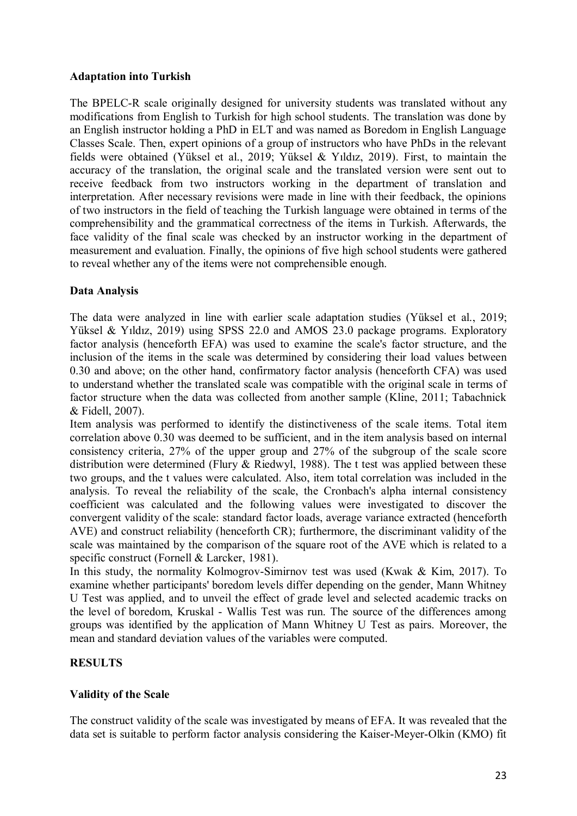## **Adaptation into Turkish**

The BPELC-R scale originally designed for university students was translated without any modifications from English to Turkish for high school students. The translation was done by an English instructor holding a PhD in ELT and was named as Boredom in English Language Classes Scale. Then, expert opinions of a group of instructors who have PhDs in the relevant fields were obtained (Yüksel et al., 2019; Yüksel & Yıldız, 2019). First, to maintain the accuracy of the translation, the original scale and the translated version were sent out to receive feedback from two instructors working in the department of translation and interpretation. After necessary revisions were made in line with their feedback, the opinions of two instructors in the field of teaching the Turkish language were obtained in terms of the comprehensibility and the grammatical correctness of the items in Turkish. Afterwards, the face validity of the final scale was checked by an instructor working in the department of measurement and evaluation. Finally, the opinions of five high school students were gathered to reveal whether any of the items were not comprehensible enough.

# **Data Analysis**

The data were analyzed in line with earlier scale adaptation studies (Yüksel et al., 2019; Yüksel & Yıldız, 2019) using SPSS 22.0 and AMOS 23.0 package programs. Exploratory factor analysis (henceforth EFA) was used to examine the scale's factor structure, and the inclusion of the items in the scale was determined by considering their load values between 0.30 and above; on the other hand, confirmatory factor analysis (henceforth CFA) was used to understand whether the translated scale was compatible with the original scale in terms of factor structure when the data was collected from another sample (Kline, 2011; Tabachnick & Fidell, 2007).

Item analysis was performed to identify the distinctiveness of the scale items. Total item correlation above 0.30 was deemed to be sufficient, and in the item analysis based on internal consistency criteria, 27% of the upper group and 27% of the subgroup of the scale score distribution were determined (Flury & Riedwyl, 1988). The t test was applied between these two groups, and the t values were calculated. Also, item total correlation was included in the analysis. To reveal the reliability of the scale, the Cronbach's alpha internal consistency coefficient was calculated and the following values were investigated to discover the convergent validity of the scale: standard factor loads, average variance extracted (henceforth AVE) and construct reliability (henceforth CR); furthermore, the discriminant validity of the scale was maintained by the comparison of the square root of the AVE which is related to a specific construct (Fornell & Larcker, 1981).

In this study, the normality Kolmogrov-Simirnov test was used (Kwak & Kim, 2017). To examine whether participants' boredom levels differ depending on the gender, Mann Whitney U Test was applied, and to unveil the effect of grade level and selected academic tracks on the level of boredom, Kruskal - Wallis Test was run. The source of the differences among groups was identified by the application of Mann Whitney U Test as pairs. Moreover, the mean and standard deviation values of the variables were computed.

# **RESULTS**

# **Validity of the Scale**

The construct validity of the scale was investigated by means of EFA. It was revealed that the data set is suitable to perform factor analysis considering the Kaiser-Meyer-Olkin (KMO) fit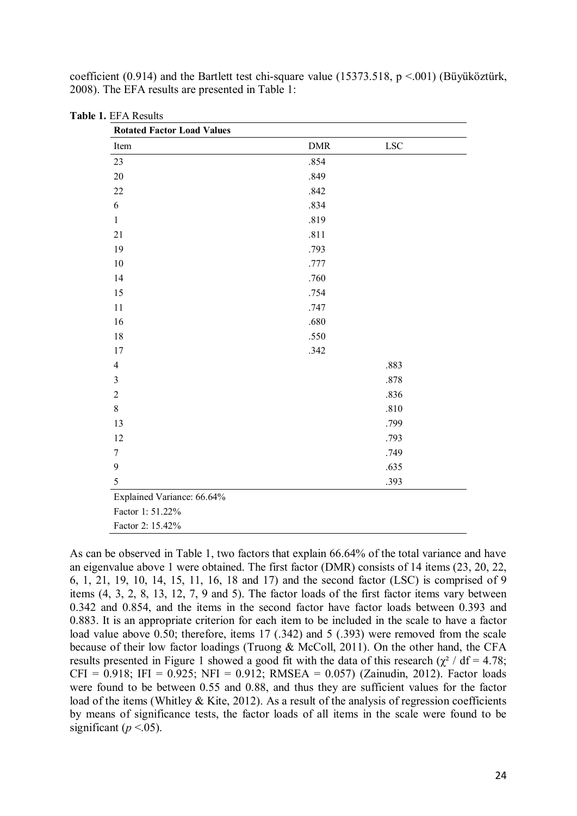| Item                       | ${\rm DMR}$ | ${\rm LSC}$ |
|----------------------------|-------------|-------------|
| 23                         | .854        |             |
| 20                         | .849        |             |
| $22\,$                     | .842        |             |
| 6                          | .834        |             |
| $\mathbf{1}$               | .819        |             |
| 21                         | .811        |             |
| 19                         | .793        |             |
| 10                         | .777        |             |
| 14                         | .760        |             |
| 15                         | .754        |             |
| 11                         | .747        |             |
| 16                         | .680        |             |
| 18                         | .550        |             |
| $17$                       | .342        |             |
| $\overline{4}$             |             | .883        |
| $\mathfrak{Z}$             |             | .878        |
| $\sqrt{2}$                 |             | .836        |
| 8                          |             | .810        |
| 13                         |             | .799        |
| 12                         |             | .793        |
| $\sqrt{ }$                 |             | .749        |
| 9                          |             | .635        |
| 5                          |             | .393        |
| Explained Variance: 66.64% |             |             |
| Factor 1: 51.22%           |             |             |
| Factor 2: 15.42%           |             |             |

coefficient (0.914) and the Bartlett test chi-square value (15373.518,  $p \le 0.001$ ) (Büyüköztürk, 2008). The EFA results are presented in Table 1:

As can be observed in Table 1, two factors that explain 66.64% of the total variance and have an eigenvalue above 1 were obtained. The first factor (DMR) consists of 14 items (23, 20, 22, 6, 1, 21, 19, 10, 14, 15, 11, 16, 18 and 17) and the second factor (LSC) is comprised of 9 items (4, 3, 2, 8, 13, 12, 7, 9 and 5). The factor loads of the first factor items vary between 0.342 and 0.854, and the items in the second factor have factor loads between 0.393 and 0.883. It is an appropriate criterion for each item to be included in the scale to have a factor load value above 0.50; therefore, items 17 (.342) and 5 (.393) were removed from the scale because of their low factor loadings (Truong & McColl, 2011). On the other hand, the CFA results presented in Figure 1 showed a good fit with the data of this research ( $\chi^2$  / df = 4.78;  $CFI = 0.918$ ; IFI =  $0.925$ ; NFI =  $0.912$ ; RMSEA =  $0.057$ ) (Zainudin, 2012). Factor loads were found to be between 0.55 and 0.88, and thus they are sufficient values for the factor load of the items (Whitley & Kite, 2012). As a result of the analysis of regression coefficients by means of significance tests, the factor loads of all items in the scale were found to be significant ( $p < 0.05$ ).

**Table 1.** EFA Results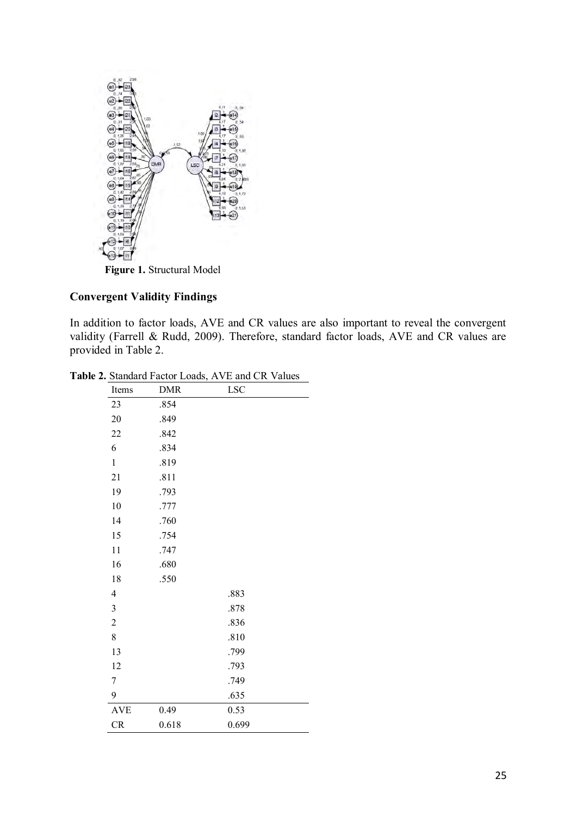

# **Convergent Validity Findings**

In addition to factor loads, AVE and CR values are also important to reveal the convergent validity (Farrell & Rudd, 2009). Therefore, standard factor loads, AVE and CR values are provided in Table 2.

| Items            | <b>DMR</b> | <b>LSC</b> |  |
|------------------|------------|------------|--|
| 23               | .854       |            |  |
| $20\,$           | .849       |            |  |
| 22               | .842       |            |  |
| 6                | .834       |            |  |
| $\mathbf{1}$     | .819       |            |  |
| 21               | .811       |            |  |
| 19               | .793       |            |  |
| 10               | .777       |            |  |
| 14               | .760       |            |  |
| 15               | .754       |            |  |
| 11               | .747       |            |  |
| 16               | .680       |            |  |
| 18               | .550       |            |  |
| $\overline{4}$   |            | .883       |  |
| $\mathfrak{Z}$   |            | .878       |  |
| $\overline{c}$   |            | .836       |  |
| $\,$ $\,$        |            | .810       |  |
| 13               |            | .799       |  |
| 12               |            | .793       |  |
| $\boldsymbol{7}$ |            | .749       |  |
| 9                |            | .635       |  |
| <b>AVE</b>       | 0.49       | 0.53       |  |
| CR               | 0.618      | 0.699      |  |

**Table 2.** Standard Factor Loads, AVE and CR Values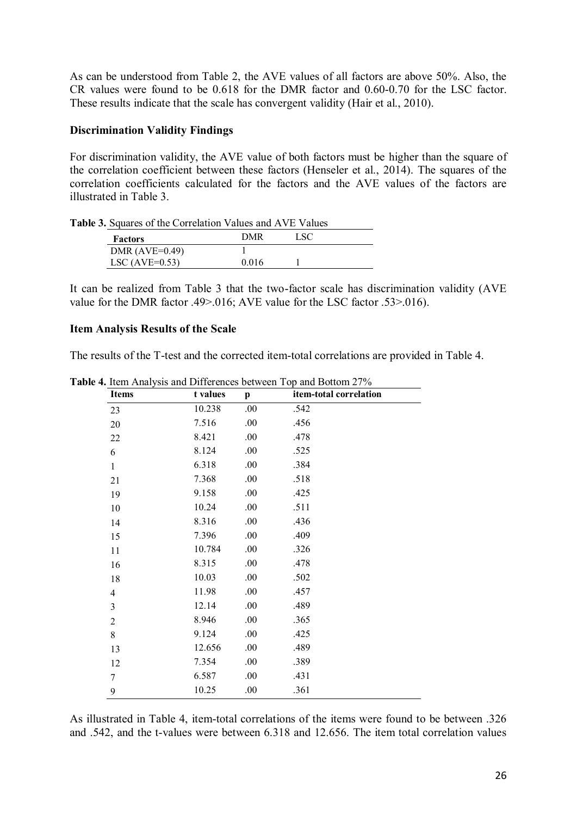As can be understood from Table 2, the AVE values of all factors are above 50%. Also, the CR values were found to be 0.618 for the DMR factor and 0.60-0.70 for the LSC factor. These results indicate that the scale has convergent validity (Hair et al., 2010).

## **Discrimination Validity Findings**

For discrimination validity, the AVE value of both factors must be higher than the square of the correlation coefficient between these factors (Henseler et al., 2014). The squares of the correlation coefficients calculated for the factors and the AVE values of the factors are illustrated in Table 3.

**Table 3.** Squares of the Correlation Values and AVE Values

| <b>Factors</b>     | DMR   | LSC |  |
|--------------------|-------|-----|--|
| DMR $(AVE=0.49)$   |       |     |  |
| LSC (AVE= $0.53$ ) | 0.016 |     |  |

It can be realized from Table 3 that the two-factor scale has discrimination validity (AVE value for the DMR factor .49>.016; AVE value for the LSC factor .53>.016).

## **Item Analysis Results of the Scale**

The results of the T-test and the corrected item-total correlations are provided in Table 4.

| <b>Items</b>   | t values | p    | item-total correlation |  |
|----------------|----------|------|------------------------|--|
| 23             | 10.238   | .00  | .542                   |  |
| 20             | 7.516    | .00  | .456                   |  |
| 22             | 8.421    | .00  | .478                   |  |
| 6              | 8.124    | .00  | .525                   |  |
| $\mathbf{1}$   | 6.318    | .00  | .384                   |  |
| 21             | 7.368    | .00  | .518                   |  |
| 19             | 9.158    | .00  | .425                   |  |
| 10             | 10.24    | .00  | .511                   |  |
| 14             | 8.316    | .00  | .436                   |  |
| 15             | 7.396    | .00  | .409                   |  |
| 11             | 10.784   | .00  | .326                   |  |
| 16             | 8.315    | .00  | .478                   |  |
| 18             | 10.03    | .00  | .502                   |  |
| $\overline{4}$ | 11.98    | .00  | .457                   |  |
| 3              | 12.14    | .00. | .489                   |  |
| $\overline{c}$ | 8.946    | .00  | .365                   |  |
| 8              | 9.124    | .00  | .425                   |  |
| 13             | 12.656   | .00  | .489                   |  |
| 12             | 7.354    | .00  | .389                   |  |
| $\overline{7}$ | 6.587    | .00  | .431                   |  |
| 9              | 10.25    | .00  | .361                   |  |

**Table 4.** Item Analysis and Differences between Top and Bottom 27%

As illustrated in Table 4, item-total correlations of the items were found to be between .326 and .542, and the t-values were between 6.318 and 12.656. The item total correlation values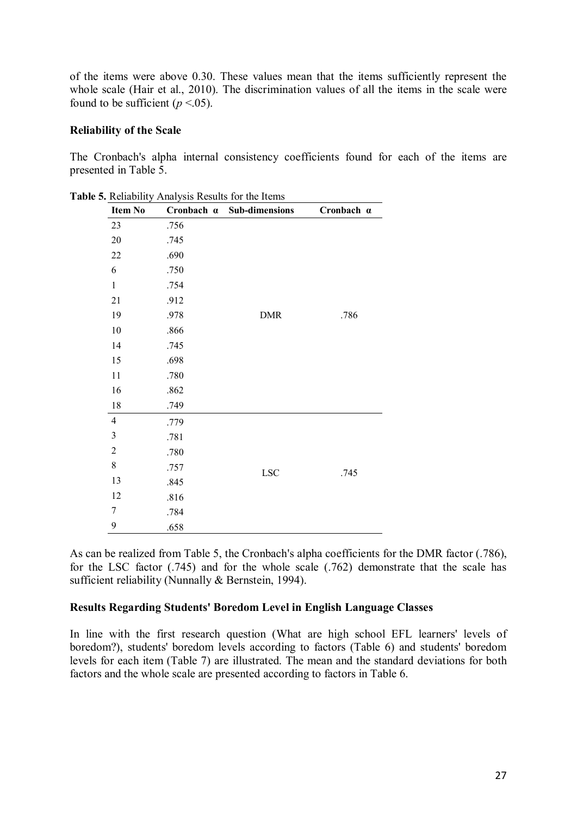of the items were above 0.30. These values mean that the items sufficiently represent the whole scale (Hair et al., 2010). The discrimination values of all the items in the scale were found to be sufficient  $(p < 0.05)$ .

### **Reliability of the Scale**

The Cronbach's alpha internal consistency coefficients found for each of the items are presented in Table 5.

| <b>Item No</b> | Cronbach a | <b>Sub-dimensions</b> | Cronbach a |
|----------------|------------|-----------------------|------------|
| 23             | .756       |                       |            |
| $20\,$         | .745       |                       |            |
| 22             | .690       |                       |            |
| 6              | .750       |                       |            |
| $\mathbf{1}$   | .754       |                       |            |
| 21             | .912       |                       |            |
| 19             | .978       | <b>DMR</b>            | .786       |
| 10             | .866       |                       |            |
| 14             | .745       |                       |            |
| 15             | .698       |                       |            |
| 11             | .780       |                       |            |
| 16             | .862       |                       |            |
| 18             | .749       |                       |            |
| $\overline{4}$ | .779       |                       |            |
| $\mathfrak{Z}$ | .781       |                       |            |
| $\overline{c}$ | .780       |                       |            |
| 8              | .757       | <b>LSC</b>            | .745       |
| 13             | .845       |                       |            |
| 12             | .816       |                       |            |
| 7              | .784       |                       |            |
| 9              | .658       |                       |            |

**Table 5.** Reliability Analysis Results for the Items

As can be realized from Table 5, the Cronbach's alpha coefficients for the DMR factor (.786), for the LSC factor (.745) and for the whole scale (.762) demonstrate that the scale has sufficient reliability (Nunnally & Bernstein, 1994).

### **Results Regarding Students' Boredom Level in English Language Classes**

In line with the first research question (What are high school EFL learners' levels of boredom?), students' boredom levels according to factors (Table 6) and students' boredom levels for each item (Table 7) are illustrated. The mean and the standard deviations for both factors and the whole scale are presented according to factors in Table 6.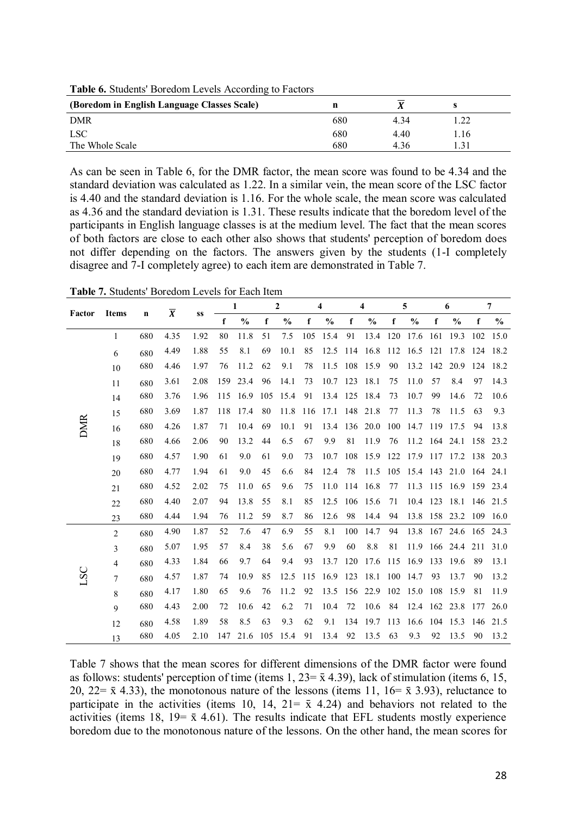**Table 6.** Students' Boredom Levels According to Factors

| (Boredom in English Language Classes Scale) |     | Δ    |      |  |
|---------------------------------------------|-----|------|------|--|
| <b>DMR</b>                                  | 680 | 4 34 |      |  |
| <b>LSC</b>                                  | 680 | 4.40 | 1.16 |  |
| The Whole Scale                             | 680 | 4.36 |      |  |

As can be seen in Table 6, for the DMR factor, the mean score was found to be 4.34 and the standard deviation was calculated as 1.22. In a similar vein, the mean score of the LSC factor is 4.40 and the standard deviation is 1.16. For the whole scale, the mean score was calculated as 4.36 and the standard deviation is 1.31. These results indicate that the boredom level of the participants in English language classes is at the medium level. The fact that the mean scores of both factors are close to each other also shows that students' perception of boredom does not differ depending on the factors. The answers given by the students (1-I completely disagree and 7-I completely agree) to each item are demonstrated in Table 7.

**Table 7.** Students' Boredom Levels for Each Item

|            |                |             | $\overline{X}$ |      |     | 1             |             | $\boldsymbol{2}$ |     | $\overline{4}$ |     | $\overline{\bf{4}}$ |             | 5             |             | 6                               |          | $\overline{7}$ |
|------------|----------------|-------------|----------------|------|-----|---------------|-------------|------------------|-----|----------------|-----|---------------------|-------------|---------------|-------------|---------------------------------|----------|----------------|
| Factor     | <b>Items</b>   | $\mathbf n$ |                | SS   | f   | $\frac{0}{0}$ | $\mathbf f$ | $\%$             | f   | $\%$           | f   | $\frac{0}{0}$       | $\mathbf f$ | $\frac{6}{9}$ | $\mathbf f$ | $\%$                            | f        | $\frac{0}{0}$  |
|            | $\mathbf{1}$   | 680         | 4.35           | 1.92 | 80  | 11.8          | 51          | 7.5              | 105 | 15.4           | 91  | 13.4 120            |             | 17.6          | 161         | 19.3                            | 102      | 15.0           |
|            | 6              | 680         | 4.49           | 1.88 | 55  | 8.1           | 69          | 10.1             | 85  | 12.5           | 114 | 16.8                | 112         | 16.5          | 121         | 17.8                            |          | 124 18.2       |
|            | 10             | 680         | 4.46           | 1.97 | 76  | 11.2          | 62          | 9.1              | 78  | 11.5           | 108 | 15.9                | 90          | 13.2          | 142         | 20.9                            | 124      | 18.2           |
|            | 11             | 680         | 3.61           | 2.08 | 159 | 23.4          | 96          | 14.1             | 73  | 10.7 123       |     | 18.1                | 75          | 11.0          | 57          | 8.4                             | 97       | 14.3           |
|            | 14             | 680         | 3.76           | 1.96 | 115 | 16.9          | 105         | 15.4             | 91  | 13.4 125       |     | 18.4                | 73          | 10.7          | 99          | 14.6                            | 72       | 10.6           |
|            | 15             | 680         | 3.69           | 1.87 | 118 | 17.4          | 80          | 11.8             | 116 | 17.1           | 148 | 21.8                | 77          | 11.3          | 78          | 11.5                            | 63       | 9.3            |
| <b>DMR</b> | 16             | 680         | 4.26           | 1.87 | 71  | 10.4          | 69          | 10.1             | 91  | 13.4           | 136 | 20.0                | 100         | 14.7          | 119         | 17.5                            | 94       | 13.8           |
|            | 18             | 680         | 4.66           | 2.06 | 90  | 13.2          | 44          | 6.5              | 67  | 9.9            | 81  | 11.9                | 76          | 11.2          | 164 24.1    |                                 | 158      | 23.2           |
|            | 19             | 680         | 4.57           | 1.90 | 61  | 9.0           | 61          | 9.0              | 73  | 10.7           | 108 |                     |             |               |             | 15.9 122 17.9 117 17.2 138 20.3 |          |                |
|            | 20             | 680         | 4.77           | 1.94 | 61  | 9.0           | 45          | 6.6              | 84  | 12.4           | 78  | 11.5                | 105         | 15.4 143      |             | 21.0                            | 164 24.1 |                |
|            | 21             | 680         | 4.52           | 2.02 | 75  | 11.0          | 65          | 9.6              | 75  | 11.0           | 114 | 16.8                | 77          | 11.3          | 115         | 16.9                            | 159 23.4 |                |
|            | 22             | 680         | 4.40           | 2.07 | 94  | 13.8          | 55          | 8.1              | 85  | 12.5           | 106 | 15.6                | 71          | 10.4 123      |             | 18.1                            | 146 21.5 |                |
|            | 23             | 680         | 4.44           | 1.94 | 76  | 11.2          | 59          | 8.7              | 86  | 12.6           | 98  | 14.4                | 94          | 13.8 158      |             | 23.2                            |          | 109 16.0       |
|            | $\overline{2}$ | 680         | 4.90           | 1.87 | 52  | 7.6           | 47          | 6.9              | 55  | 8.1            | 100 | 14.7                | 94          | 13.8          | 167         | 24.6                            | 165 24.3 |                |
|            | $\overline{3}$ | 680         | 5.07           | 1.95 | 57  | 8.4           | 38          | 5.6              | 67  | 9.9            | 60  | 8.8                 | 81          | 11.9          | 166         | 24.4                            | 211      | 31.0           |
|            | $\overline{4}$ | 680         | 4.33           | 1.84 | 66  | 9.7           | 64          | 9.4              | 93  | 13.7           | 120 | 17.6                | 115         | 16.9          | 133         | 19.6                            | 89       | 13.1           |
| LSC        | $\tau$         | 680         | 4.57           | 1.87 | 74  | 10.9          | 85          | 12.5             | 115 | 16.9           | 123 | 18.1 100 14.7       |             |               | 93          | 13.7                            | 90       | 13.2           |
|            | 8              | 680         | 4.17           | 1.80 | 65  | 9.6           | 76          | 11.2             | 92  | 13.5           | 156 | 22.9                |             | 102 15.0      | 108         | 15.9                            | 81       | 11.9           |
|            | 9              | 680         | 4.43           | 2.00 | 72  | 10.6          | 42          | 6.2              | 71  | 10.4           | 72  | 10.6                | 84          | 12.4          | 162         | 23.8                            | 177      | 26.0           |
|            | 12             | 680         | 4.58           | 1.89 | 58  | 8.5           | 63          | 9.3              | 62  | 9.1            | 134 | 19.7                | 113         | 16.6          | 104         | 15.3                            | 146      | 21.5           |
|            | 13             | 680         | 4.05           | 2.10 | 147 | 21.6          | 105         | 15.4             | 91  | 13.4           | 92  | 13.5                | 63          | 9.3           | 92          | 13.5                            | 90       | 13.2           |

Table 7 shows that the mean scores for different dimensions of the DMR factor were found as follows: students' perception of time (items 1,  $23=\bar{x}$  4.39), lack of stimulation (items 6, 15, 20, 22=  $\bar{x}$  4.33), the monotonous nature of the lessons (items 11, 16=  $\bar{x}$  3.93), reluctance to participate in the activities (items 10, 14, 21=  $\bar{x}$  4.24) and behaviors not related to the activities (items 18, 19 =  $\bar{x}$  4.61). The results indicate that EFL students mostly experience boredom due to the monotonous nature of the lessons. On the other hand, the mean scores for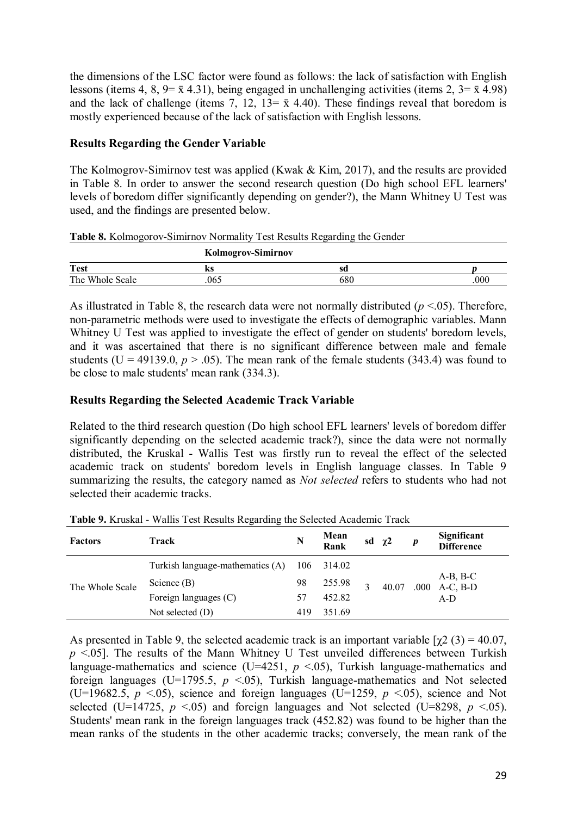the dimensions of the LSC factor were found as follows: the lack of satisfaction with English lessons (items 4, 8, 9=  $\bar{x}$  4.31), being engaged in unchallenging activities (items 2, 3=  $\bar{x}$  4.98) and the lack of challenge (items 7, 12, 13=  $\bar{x}$  4.40). These findings reveal that boredom is mostly experienced because of the lack of satisfaction with English lessons.

# **Results Regarding the Gender Variable**

The Kolmogrov-Simirnov test was applied (Kwak & Kim, 2017), and the results are provided in Table 8. In order to answer the second research question (Do high school EFL learners' levels of boredom differ significantly depending on gender?), the Mann Whitney U Test was used, and the findings are presented below.

**Table 8.** Kolmogorov-Simirnov Normality Test Results Regarding the Gender

|                 | <b>Kolmogrov-Simirnov</b> |     |     |  |
|-----------------|---------------------------|-----|-----|--|
| <b>Test</b>     | n s                       |     |     |  |
| The Whole Scale | 065                       | oou | 000 |  |

As illustrated in Table 8, the research data were not normally distributed  $(p \le 0.05)$ . Therefore, non-parametric methods were used to investigate the effects of demographic variables. Mann Whitney U Test was applied to investigate the effect of gender on students' boredom levels, and it was ascertained that there is no significant difference between male and female students ( $U = 49139.0$ ,  $p > .05$ ). The mean rank of the female students (343.4) was found to be close to male students' mean rank (334.3).

# **Results Regarding the Selected Academic Track Variable**

Related to the third research question (Do high school EFL learners' levels of boredom differ significantly depending on the selected academic track?), since the data were not normally distributed, the Kruskal - Wallis Test was firstly run to reveal the effect of the selected academic track on students' boredom levels in English language classes. In Table 9 summarizing the results, the category named as *Not selected* refers to students who had not selected their academic tracks.

| <b>Factors</b>  | Track                                                                      | N   | <b>Mean</b><br>Rank | sd $\chi^2$ |       | $\boldsymbol{p}$ | Significant<br><b>Difference</b>      |
|-----------------|----------------------------------------------------------------------------|-----|---------------------|-------------|-------|------------------|---------------------------------------|
| The Whole Scale | Turkish language-mathematics (A)<br>Science $(B)$<br>Foreign languages (C) |     | 314.02              |             |       |                  |                                       |
|                 |                                                                            |     | 255.98              |             | 40.07 |                  | $A-B, B-C$<br>$.000 \text{ A-C, B-D}$ |
|                 |                                                                            |     | 452.82              |             |       |                  | A-D                                   |
|                 | Not selected $(D)$                                                         | 419 | 351.69              |             |       |                  |                                       |

**Table 9.** Kruskal - Wallis Test Results Regarding the Selected Academic Track

As presented in Table 9, the selected academic track is an important variable  $[\chi^2(3) = 40.07]$ ,  $p \le 0.05$ . The results of the Mann Whitney U Test unveiled differences between Turkish language-mathematics and science (U=4251,  $p \le 0.05$ ), Turkish language-mathematics and foreign languages (U=1795.5,  $p < 0.05$ ), Turkish language-mathematics and Not selected (U=19682.5,  $p \le 0.05$ ), science and foreign languages (U=1259,  $p \le 0.05$ ), science and Not selected (U=14725,  $p \le 0.05$ ) and foreign languages and Not selected (U=8298,  $p \le 0.05$ ). Students' mean rank in the foreign languages track (452.82) was found to be higher than the mean ranks of the students in the other academic tracks; conversely, the mean rank of the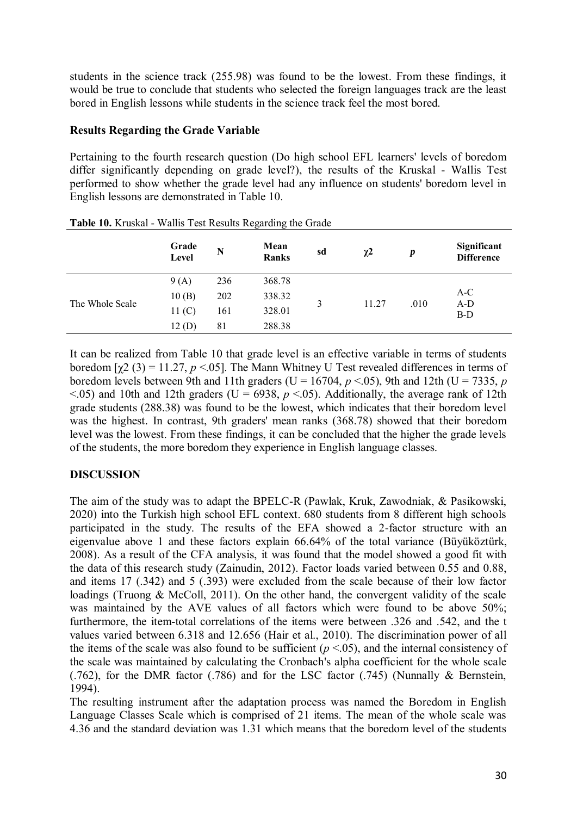students in the science track (255.98) was found to be the lowest. From these findings, it would be true to conclude that students who selected the foreign languages track are the least bored in English lessons while students in the science track feel the most bored.

## **Results Regarding the Grade Variable**

Pertaining to the fourth research question (Do high school EFL learners' levels of boredom differ significantly depending on grade level?), the results of the Kruskal - Wallis Test performed to show whether the grade level had any influence on students' boredom level in English lessons are demonstrated in Table 10.

|                 | Grade<br>Level    | N   | Mean<br>Ranks | sd | $\chi^2$ | $\boldsymbol{p}$ | Significant<br><b>Difference</b> |
|-----------------|-------------------|-----|---------------|----|----------|------------------|----------------------------------|
|                 | 9(A)              | 236 | 368.78        |    |          |                  |                                  |
|                 | 10(B)             | 202 | 338.32        |    |          |                  | $A-C$                            |
| The Whole Scale | 11 <sub>(C)</sub> | 161 | 328.01        | 3  | 11.27    | .010             | $A-D$<br>B-D                     |
|                 | 12(D)             | 81  | 288.38        |    |          |                  |                                  |

|  |  | Table 10. Kruskal - Wallis Test Results Regarding the Grade |  |
|--|--|-------------------------------------------------------------|--|
|  |  |                                                             |  |

It can be realized from Table 10 that grade level is an effective variable in terms of students boredom  $[\gamma 2 (3) = 11.27, p < 0.05]$ . The Mann Whitney U Test revealed differences in terms of boredom levels between 9th and 11th graders (U = 16704,  $p < 0.05$ ), 9th and 12th (U = 7335, *p*  $\leq$ .05) and 10th and 12th graders (U = 6938,  $p \leq$ .05). Additionally, the average rank of 12th grade students (288.38) was found to be the lowest, which indicates that their boredom level was the highest. In contrast, 9th graders' mean ranks (368.78) showed that their boredom level was the lowest. From these findings, it can be concluded that the higher the grade levels of the students, the more boredom they experience in English language classes.

# **DISCUSSION**

The aim of the study was to adapt the BPELC-R (Pawlak, Kruk, Zawodniak, & Pasikowski, 2020) into the Turkish high school EFL context. 680 students from 8 different high schools participated in the study. The results of the EFA showed a 2-factor structure with an eigenvalue above 1 and these factors explain 66.64% of the total variance (Büyüköztürk, 2008). As a result of the CFA analysis, it was found that the model showed a good fit with the data of this research study (Zainudin, 2012). Factor loads varied between 0.55 and 0.88, and items 17 (.342) and 5 (.393) were excluded from the scale because of their low factor loadings (Truong & McColl, 2011). On the other hand, the convergent validity of the scale was maintained by the AVE values of all factors which were found to be above 50%; furthermore, the item-total correlations of the items were between .326 and .542, and the t values varied between 6.318 and 12.656 (Hair et al., 2010). The discrimination power of all the items of the scale was also found to be sufficient  $(p < .05)$ , and the internal consistency of the scale was maintained by calculating the Cronbach's alpha coefficient for the whole scale (.762), for the DMR factor (.786) and for the LSC factor (.745) (Nunnally & Bernstein, 1994).

The resulting instrument after the adaptation process was named the Boredom in English Language Classes Scale which is comprised of 21 items. The mean of the whole scale was 4.36 and the standard deviation was 1.31 which means that the boredom level of the students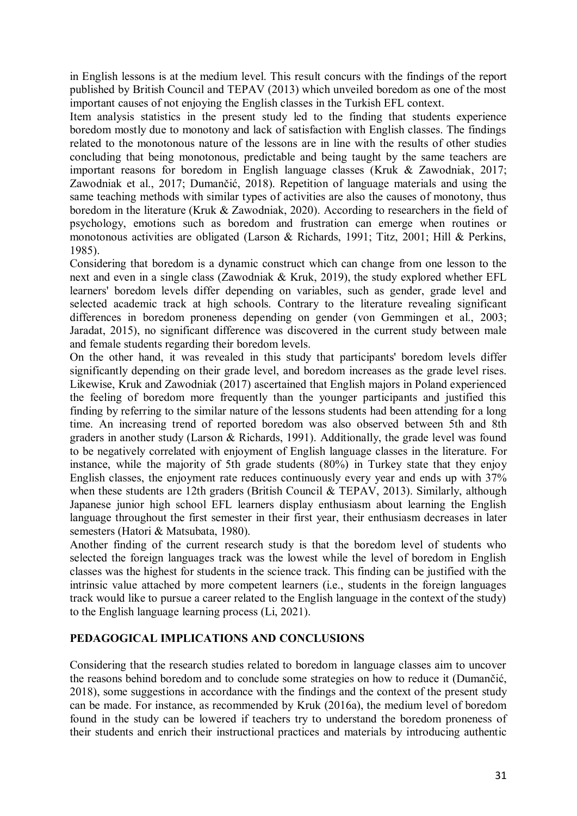in English lessons is at the medium level. This result concurs with the findings of the report published by British Council and TEPAV (2013) which unveiled boredom as one of the most important causes of not enjoying the English classes in the Turkish EFL context.

Item analysis statistics in the present study led to the finding that students experience boredom mostly due to monotony and lack of satisfaction with English classes. The findings related to the monotonous nature of the lessons are in line with the results of other studies concluding that being monotonous, predictable and being taught by the same teachers are important reasons for boredom in English language classes (Kruk & Zawodniak, 2017; Zawodniak et al., 2017; Dumančić, 2018). Repetition of language materials and using the same teaching methods with similar types of activities are also the causes of monotony, thus boredom in the literature (Kruk & Zawodniak, 2020). According to researchers in the field of psychology, emotions such as boredom and frustration can emerge when routines or monotonous activities are obligated (Larson & Richards, 1991; Titz, 2001; Hill & Perkins, 1985).

Considering that boredom is a dynamic construct which can change from one lesson to the next and even in a single class (Zawodniak & Kruk, 2019), the study explored whether EFL learners' boredom levels differ depending on variables, such as gender, grade level and selected academic track at high schools. Contrary to the literature revealing significant differences in boredom proneness depending on gender (von Gemmingen et al., 2003; Jaradat, 2015), no significant difference was discovered in the current study between male and female students regarding their boredom levels.

On the other hand, it was revealed in this study that participants' boredom levels differ significantly depending on their grade level, and boredom increases as the grade level rises. Likewise, Kruk and Zawodniak (2017) ascertained that English majors in Poland experienced the feeling of boredom more frequently than the younger participants and justified this finding by referring to the similar nature of the lessons students had been attending for a long time. An increasing trend of reported boredom was also observed between 5th and 8th graders in another study (Larson & Richards, 1991). Additionally, the grade level was found to be negatively correlated with enjoyment of English language classes in the literature. For instance, while the majority of 5th grade students (80%) in Turkey state that they enjoy English classes, the enjoyment rate reduces continuously every year and ends up with 37% when these students are 12th graders (British Council & TEPAV, 2013). Similarly, although Japanese junior high school EFL learners display enthusiasm about learning the English language throughout the first semester in their first year, their enthusiasm decreases in later semesters (Hatori & Matsubata, 1980).

Another finding of the current research study is that the boredom level of students who selected the foreign languages track was the lowest while the level of boredom in English classes was the highest for students in the science track. This finding can be justified with the intrinsic value attached by more competent learners (i.e., students in the foreign languages track would like to pursue a career related to the English language in the context of the study) to the English language learning process (Li, 2021).

# **PEDAGOGICAL IMPLICATIONS AND CONCLUSIONS**

Considering that the research studies related to boredom in language classes aim to uncover the reasons behind boredom and to conclude some strategies on how to reduce it (Dumančić, 2018), some suggestions in accordance with the findings and the context of the present study can be made. For instance, as recommended by Kruk (2016a), the medium level of boredom found in the study can be lowered if teachers try to understand the boredom proneness of their students and enrich their instructional practices and materials by introducing authentic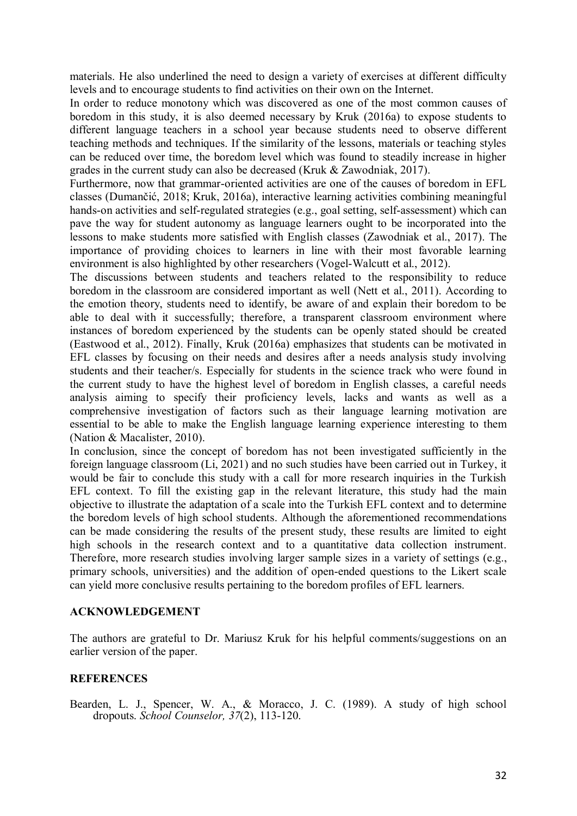materials. He also underlined the need to design a variety of exercises at different difficulty levels and to encourage students to find activities on their own on the Internet.

In order to reduce monotony which was discovered as one of the most common causes of boredom in this study, it is also deemed necessary by Kruk (2016a) to expose students to different language teachers in a school year because students need to observe different teaching methods and techniques. If the similarity of the lessons, materials or teaching styles can be reduced over time, the boredom level which was found to steadily increase in higher grades in the current study can also be decreased (Kruk & Zawodniak, 2017).

Furthermore, now that grammar-oriented activities are one of the causes of boredom in EFL classes (Dumančić, 2018; Kruk, 2016a), interactive learning activities combining meaningful hands-on activities and self-regulated strategies (e.g., goal setting, self-assessment) which can pave the way for student autonomy as language learners ought to be incorporated into the lessons to make students more satisfied with English classes (Zawodniak et al., 2017). The importance of providing choices to learners in line with their most favorable learning environment is also highlighted by other researchers (Vogel-Walcutt et al., 2012).

The discussions between students and teachers related to the responsibility to reduce boredom in the classroom are considered important as well (Nett et al., 2011). According to the emotion theory, students need to identify, be aware of and explain their boredom to be able to deal with it successfully; therefore, a transparent classroom environment where instances of boredom experienced by the students can be openly stated should be created (Eastwood et al., 2012). Finally, Kruk (2016a) emphasizes that students can be motivated in EFL classes by focusing on their needs and desires after a needs analysis study involving students and their teacher/s. Especially for students in the science track who were found in the current study to have the highest level of boredom in English classes, a careful needs analysis aiming to specify their proficiency levels, lacks and wants as well as a comprehensive investigation of factors such as their language learning motivation are essential to be able to make the English language learning experience interesting to them (Nation & Macalister, 2010).

In conclusion, since the concept of boredom has not been investigated sufficiently in the foreign language classroom (Li, 2021) and no such studies have been carried out in Turkey, it would be fair to conclude this study with a call for more research inquiries in the Turkish EFL context. To fill the existing gap in the relevant literature, this study had the main objective to illustrate the adaptation of a scale into the Turkish EFL context and to determine the boredom levels of high school students. Although the aforementioned recommendations can be made considering the results of the present study, these results are limited to eight high schools in the research context and to a quantitative data collection instrument. Therefore, more research studies involving larger sample sizes in a variety of settings (e.g., primary schools, universities) and the addition of open-ended questions to the Likert scale can yield more conclusive results pertaining to the boredom profiles of EFL learners.

### **ACKNOWLEDGEMENT**

The authors are grateful to Dr. Mariusz Kruk for his helpful comments/suggestions on an earlier version of the paper.

### **REFERENCES**

Bearden, L. J., Spencer, W. A., & Moracco, J. C. (1989). A study of high school dropouts. *School Counselor, 37*(2), 113-120.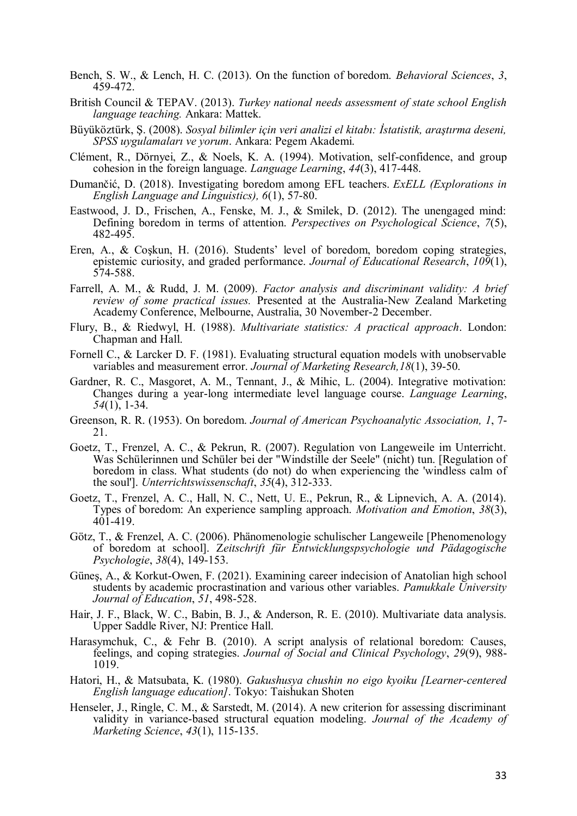- Bench, S. W., & Lench, H. C. (2013). On the function of boredom. *Behavioral Sciences*, *3*, 459-472.
- British Council & TEPAV. (2013). *Turkey national needs assessment of state school English language teaching.* Ankara: Mattek.
- Büyüköztürk, Ş. (2008). *Sosyal bilimler için veri analizi el kitabı: İstatistik, araştırma deseni, SPSS uygulamaları ve yorum*. Ankara: Pegem Akademi.
- Clément, R., Dörnyei, Z., & Noels, K. A. (1994). Motivation, self-confidence, and group cohesion in the foreign language. *Language Learning*, *44*(3), 417-448.
- Dumančić, D. (2018). Investigating boredom among EFL teachers. *ExELL (Explorations in English Language and Linguistics), 6*(1), 57-80.
- Eastwood, J. D., Frischen, A., Fenske, M. J., & Smilek, D. (2012). The unengaged mind: Defining boredom in terms of attention. *Perspectives on Psychological Science*, *7*(5), 482-495.
- Eren, A., & Coşkun, H. (2016). Students' level of boredom, boredom coping strategies, epistemic curiosity, and graded performance. *Journal of Educational Research*, *109*(1), 574-588.
- Farrell, A. M., & Rudd, J. M. (2009). *Factor analysis and discriminant validity: A brief review of some practical issues.* Presented at the Australia-New Zealand Marketing Academy Conference, Melbourne, Australia, 30 November-2 December.
- Flury, B., & Riedwyl, H. (1988). *Multivariate statistics: A practical approach*. London: Chapman and Hall.
- Fornell C., & Larcker D. F. (1981). Evaluating structural equation models with unobservable variables and measurement error. *Journal of Marketing Research,18*(1), 39-50.
- Gardner, R. C., Masgoret, A. M., Tennant, J., & Mihic, L. (2004). Integrative motivation: Changes during a year-long intermediate level language course. *Language Learning*, *54*(1), 1-34.
- Greenson, R. R. (1953). On boredom. *Journal of American Psychoanalytic Association, 1*, 7- 21.
- Goetz, T., Frenzel, A. C., & Pekrun, R. (2007). Regulation von Langeweile im Unterricht. Was Schülerinnen und Schüler bei der "Windstille der Seele" (nicht) tun. [Regulation of boredom in class. What students (do not) do when experiencing the 'windless calm of the soul']. *Unterrichtswissenschaft*, *35*(4), 312-333.
- Goetz, T., Frenzel, A. C., Hall, N. C., Nett, U. E., Pekrun, R., & Lipnevich, A. A. (2014). Types of boredom: An experience sampling approach. *Motivation and Emotion*, *38*(3),  $401 - 419$ .
- Götz, T., & Frenzel, A. C. (2006). Phänomenologie schulischer Langeweile [Phenomenology of boredom at school]. Z*eitschrift für Entwicklungspsychologie und Pädagogische Psychologie*, *38*(4), 149-153.
- Güneş, A., & Korkut-Owen, F. (2021). Examining career indecision of Anatolian high school students by academic procrastination and various other variables. *Pamukkale University Journal of Education*, *51*, 498-528.
- Hair, J. F., Black, W. C., Babin, B. J., & Anderson, R. E. (2010). Multivariate data analysis. Upper Saddle River, NJ: Prentice Hall.
- Harasymchuk, C., & Fehr B. (2010). A script analysis of relational boredom: Causes, feelings, and coping strategies. *Journal of Social and Clinical Psychology*, *29*(9), 988- 1019.
- Hatori, H., & Matsubata, K. (1980). *Gakushusya chushin no eigo kyoiku [Learner-centered English language education]*. Tokyo: Taishukan Shoten
- Henseler, J., Ringle, C. M., & Sarstedt, M. (2014). A new criterion for assessing discriminant validity in variance-based structural equation modeling. *Journal of the Academy of Marketing Science*, *43*(1), 115-135.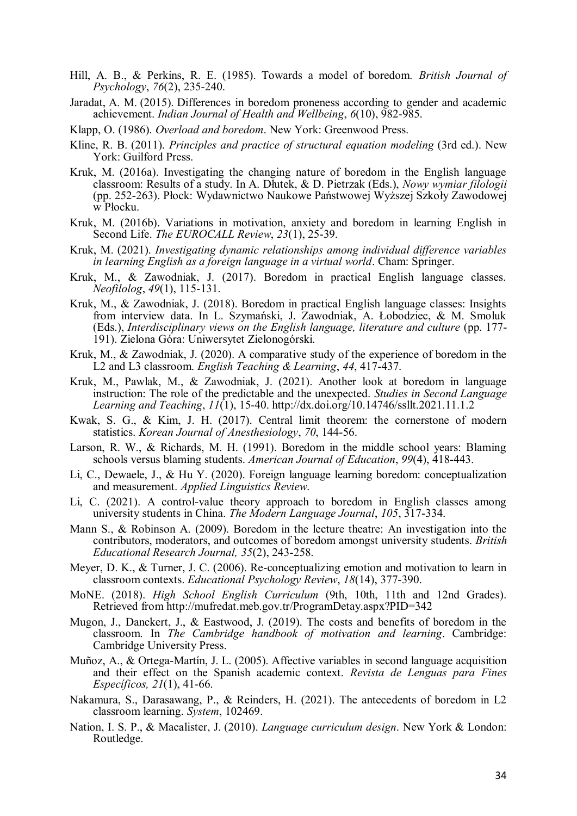- Hill, A. B., & Perkins, R. E. (1985). Towards a model of boredom. *British Journal of Psychology*, *76*(2), 235-240.
- Jaradat, A. M. (2015). Differences in boredom proneness according to gender and academic achievement. *Indian Journal of Health and Wellbeing*, *6*(10), 982-985.
- Klapp, O. (1986). *Overload and boredom*. New York: Greenwood Press.
- Kline, R. B. (2011). *Principles and practice of structural equation modeling* (3rd ed.). New York: Guilford Press.
- Kruk, M. (2016a). Investigating the changing nature of boredom in the English language classroom: Results of a study. In A. Dłutek, & D. Pietrzak (Eds.), *Nowy wymiar filologii* (pp. 252-263). Płock: Wydawnictwo Naukowe Państwowej Wyższej Szkoły Zawodowej w Płocku.
- Kruk, M. (2016b). Variations in motivation, anxiety and boredom in learning English in Second Life. *The EUROCALL Review*, *23*(1), 25-39.
- Kruk, M. (2021). *Investigating dynamic relationships among individual difference variables in learning English as a foreign language in a virtual world*. Cham: Springer.
- Kruk, M., & Zawodniak, J. (2017). Boredom in practical English language classes. *Neofilolog*, *49*(1), 115-131.
- Kruk, M., & Zawodniak, J. (2018). Boredom in practical English language classes: Insights from interview data. In L. Szymański, J. Zawodniak, A. Łobodziec, & M. Smoluk (Eds.), *Interdisciplinary views on the English language, literature and culture* (pp. 177- 191). Zielona Góra: Uniwersytet Zielonogórski.
- Kruk, M., & Zawodniak, J. (2020). A comparative study of the experience of boredom in the L2 and L3 classroom. *English Teaching & Learning*, *44*, 417-437.
- Kruk, M., Pawlak, M., & Zawodniak, J. (2021). Another look at boredom in language instruction: The role of the predictable and the unexpected. *Studies in Second Language Learning and Teaching*, *11*(1), 15-40. http://dx.doi.org/10.14746/ssllt.2021.11.1.2
- Kwak, S. G., & Kim, J. H. (2017). Central limit theorem: the cornerstone of modern statistics. *Korean Journal of Anesthesiology*, *70*, 144-56.
- Larson, R. W., & Richards, M. H. (1991). Boredom in the middle school years: Blaming schools versus blaming students. *American Journal of Education*, *99*(4), 418-443.
- Li, C., Dewaele, J., & Hu Y. (2020). Foreign language learning boredom: conceptualization and measurement. *Applied Linguistics Review*.
- Li, C. (2021). A control-value theory approach to boredom in English classes among university students in China. *The Modern Language Journal*, *105*, 317-334.
- Mann S., & Robinson A. (2009). Boredom in the lecture theatre: An investigation into the contributors, moderators, and outcomes of boredom amongst university students. *British Educational Research Journal, 35*(2), 243-258.
- Meyer, D. K., & Turner, J. C. (2006). Re-conceptualizing emotion and motivation to learn in classroom contexts. *Educational Psychology Review*, *18*(14), 377-390.
- MoNE. (2018). *High School English Curriculum* (9th, 10th, 11th and 12nd Grades). Retrieved from http://mufredat.meb.gov.tr/ProgramDetay.aspx?PID=342
- Mugon, J., Danckert, J., & Eastwood, J. (2019). The costs and benefits of boredom in the classroom. In *The Cambridge handbook of motivation and learning*. Cambridge: Cambridge University Press.
- Muñoz, A., & Ortega-Martín, J. L. (2005). Affective variables in second language acquisition and their effect on the Spanish academic context. *Revista de Lenguas para Fines Específicos, 21*(1), 41-66.
- Nakamura, S., Darasawang, P., & Reinders, H. (2021). The antecedents of boredom in L2 classroom learning. *System*, 102469.
- Nation, I. S. P., & Macalister, J. (2010). *Language curriculum design*. New York & London: Routledge.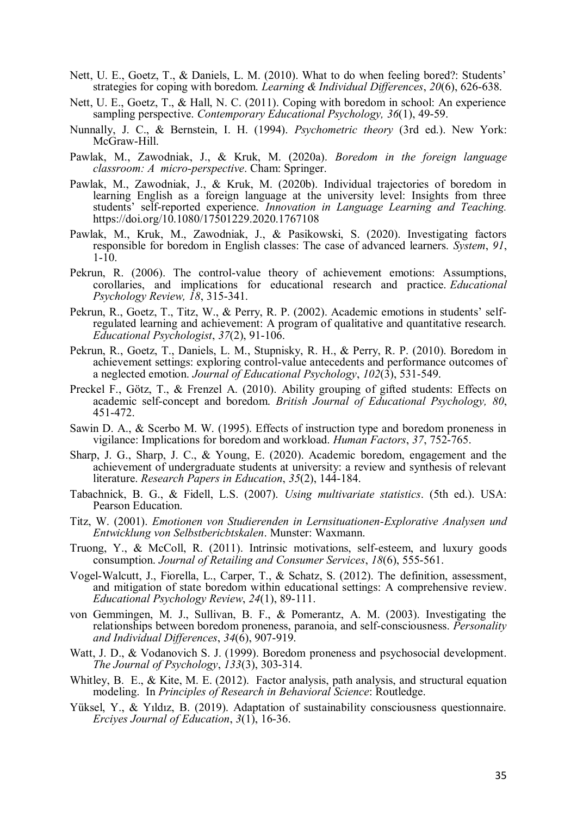- Nett, U. E., Goetz, T., & Daniels, L. M. (2010). What to do when feeling bored?: Students' strategies for coping with boredom. *Learning & Individual Differences*, *20*(6), 626-638.
- Nett, U. E., Goetz, T., & Hall, N. C. (2011). Coping with boredom in school: An experience sampling perspective. *Contemporary Educational Psychology, 36*(1), 49-59.
- Nunnally, J. C., & Bernstein, I. H. (1994). *Psychometric theory* (3rd ed.). New York: McGraw-Hill.
- Pawlak, M., Zawodniak, J., & Kruk, M. (2020a). *Boredom in the foreign language classroom: A micro-perspective*. Cham: Springer.
- Pawlak, M., Zawodniak, J., & Kruk, M. (2020b). Individual trajectories of boredom in learning English as a foreign language at the university level: Insights from three students' self-reported experience. *Innovation in Language Learning and Teaching.* https://doi.org/10.1080/17501229.2020.1767108
- Pawlak, M., Kruk, M., Zawodniak, J., & Pasikowski, S. (2020). Investigating factors responsible for boredom in English classes: The case of advanced learners. *System*, *91*, 1-10.
- Pekrun, R. (2006). The control-value theory of achievement emotions: Assumptions, corollaries, and implications for educational research and practice. *Educational Psychology Review, 18*, 315-341.
- Pekrun, R., Goetz, T., Titz, W., & Perry, R. P. (2002). Academic emotions in students' selfregulated learning and achievement: A program of qualitative and quantitative research. *Educational Psychologist*, *37*(2), 91-106.
- Pekrun, R., Goetz, T., Daniels, L. M., Stupnisky, R. H., & Perry, R. P. (2010). Boredom in achievement settings: exploring control-value antecedents and performance outcomes of a neglected emotion. *Journal of Educational Psychology*, *102*(3), 531-549.
- Preckel F., Götz, T., & Frenzel A. (2010). Ability grouping of gifted students: Effects on academic self-concept and boredom. *British Journal of Educational Psychology, 80*, 451-472.
- Sawin D. A., & Scerbo M. W. (1995). Effects of instruction type and boredom proneness in vigilance: Implications for boredom and workload. *Human Factors*, *37*, 752-765.
- Sharp, J. G., Sharp, J. C., & Young, E. (2020). Academic boredom, engagement and the achievement of undergraduate students at university: a review and synthesis of relevant literature. *Research Papers in Education*, *35*(2), 144-184.
- Tabachnick, B. G., & Fidell, L.S. (2007). *Using multivariate statistics*. (5th ed.). USA: Pearson Education.
- Titz, W. (2001). *Emotionen von Studierenden in Lernsituationen-Explorative Analysen und Entwicklung von Selbstbericbtskalen*. Munster: Waxmann.
- Truong, Y., & McColl, R. (2011). Intrinsic motivations, self-esteem, and luxury goods consumption. *Journal of Retailing and Consumer Services*, *18*(6), 555-561.
- Vogel-Walcutt, J., Fiorella, L., Carper, T., & Schatz, S. (2012). The definition, assessment, and mitigation of state boredom within educational settings: A comprehensive review. *Educational Psychology Review*, *24*(1), 89-111.
- von Gemmingen, M. J., Sullivan, B. F., & Pomerantz, A. M. (2003). Investigating the relationships between boredom proneness, paranoia, and self-consciousness. *Personality and Individual Differences*, *34*(6), 907-919.
- Watt, J. D., & Vodanovich S. J. (1999). Boredom proneness and psychosocial development. *The Journal of Psychology*, *133*(3), 303-314.
- Whitley, B. E., & Kite, M. E. (2012). Factor analysis, path analysis, and structural equation modeling. In *Principles of Research in Behavioral Science*: Routledge.
- Yüksel, Y., & Yıldız, B. (2019). Adaptation of sustainability consciousness questionnaire. *Erciyes Journal of Education*, *3*(1), 16-36.